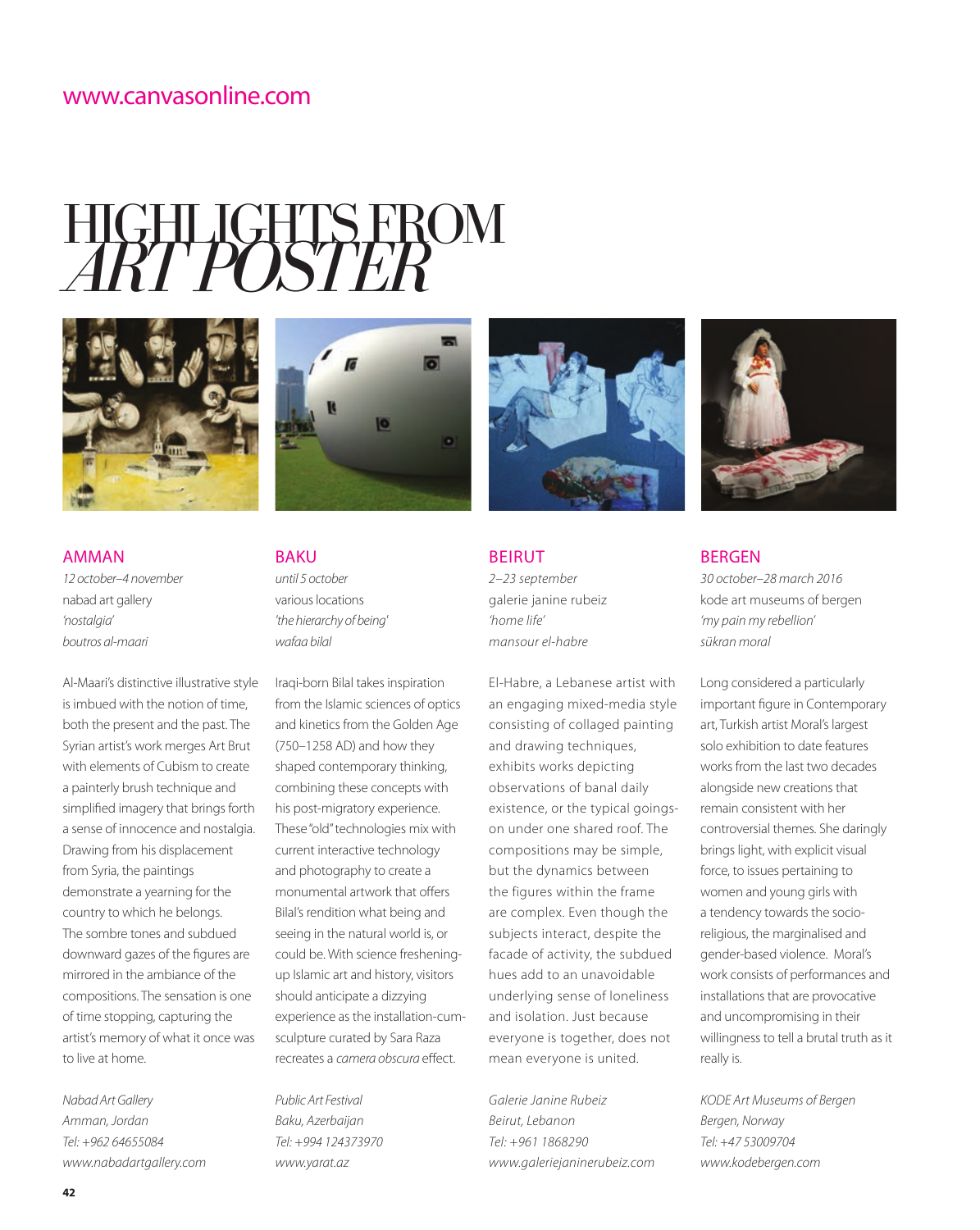# HIGHLIGHTS FROM *ART POSTER*





AMMAN *12 october–4 november*  nabad art gallery *'nostalgia' boutros al-maari*

Al-Maari's distinctive illustrative style is imbued with the notion of time, both the present and the past. The Syrian artist's work merges Art Brut with elements of Cubism to create a painterly brush technique and simplified imagery that brings forth a sense of innocence and nostalgia. Drawing from his displacement from Syria, the paintings demonstrate a yearning for the country to which he belongs. The sombre tones and subdued downward gazes of the figures are mirrored in the ambiance of the compositions. The sensation is one of time stopping, capturing the artist's memory of what it once was to live at home.

*Nabad Art Gallery Amman, Jordan Tel: +962 64655084 www.nabadartgallery.com* BAKU *until 5 october*  various locations *'the hierarchy of being' wafaa bilal*

Iraqi-born Bilal takes inspiration from the Islamic sciences of optics and kinetics from the Golden Age (750–1258 AD) and how they shaped contemporary thinking, combining these concepts with his post-migratory experience. These "old" technologies mix with current interactive technology and photography to create a monumental artwork that offers Bilal's rendition what being and seeing in the natural world is, or could be. With science fresheningup Islamic art and history, visitors should anticipate a dizzying experience as the installation-cumsculpture curated by Sara Raza recreates a *camera obscura* effect.

*Public Art Festival Baku, Azerbaijan Tel: +994 124373970 www.yarat.az*



BEIRUT *2–23 september*  galerie janine rubeiz *'home life' mansour el-habre*

El-Habre, a Lebanese artist with an engaging mixed-media style consisting of collaged painting and drawing techniques, exhibits works depicting observations of banal daily existence, or the typical goingson under one shared roof. The compositions may be simple, but the dynamics between the figures within the frame are complex. Even though the subjects interact, despite the facade of activity, the subdued hues add to an unavoidable underlying sense of loneliness and isolation. Just because everyone is together, does not mean everyone is united.

*Galerie Janine Rubeiz Beirut, Lebanon Tel: +961 1868290 www.galeriejaninerubeiz.com*



### BERGEN

*30 october–28 march 2016*  kode art museums of bergen *'my pain my rebellion' sükran moral*

Long considered a particularly important figure in Contemporary art, Turkish artist Moral's largest solo exhibition to date features works from the last two decades alongside new creations that remain consistent with her controversial themes. She daringly brings light, with explicit visual force, to issues pertaining to women and young girls with a tendency towards the socioreligious, the marginalised and gender-based violence. Moral's work consists of performances and installations that are provocative and uncompromising in their willingness to tell a brutal truth as it really is.

*KODE Art Museums of Bergen Bergen, Norway Tel: +47 53009704 www.kodebergen.com*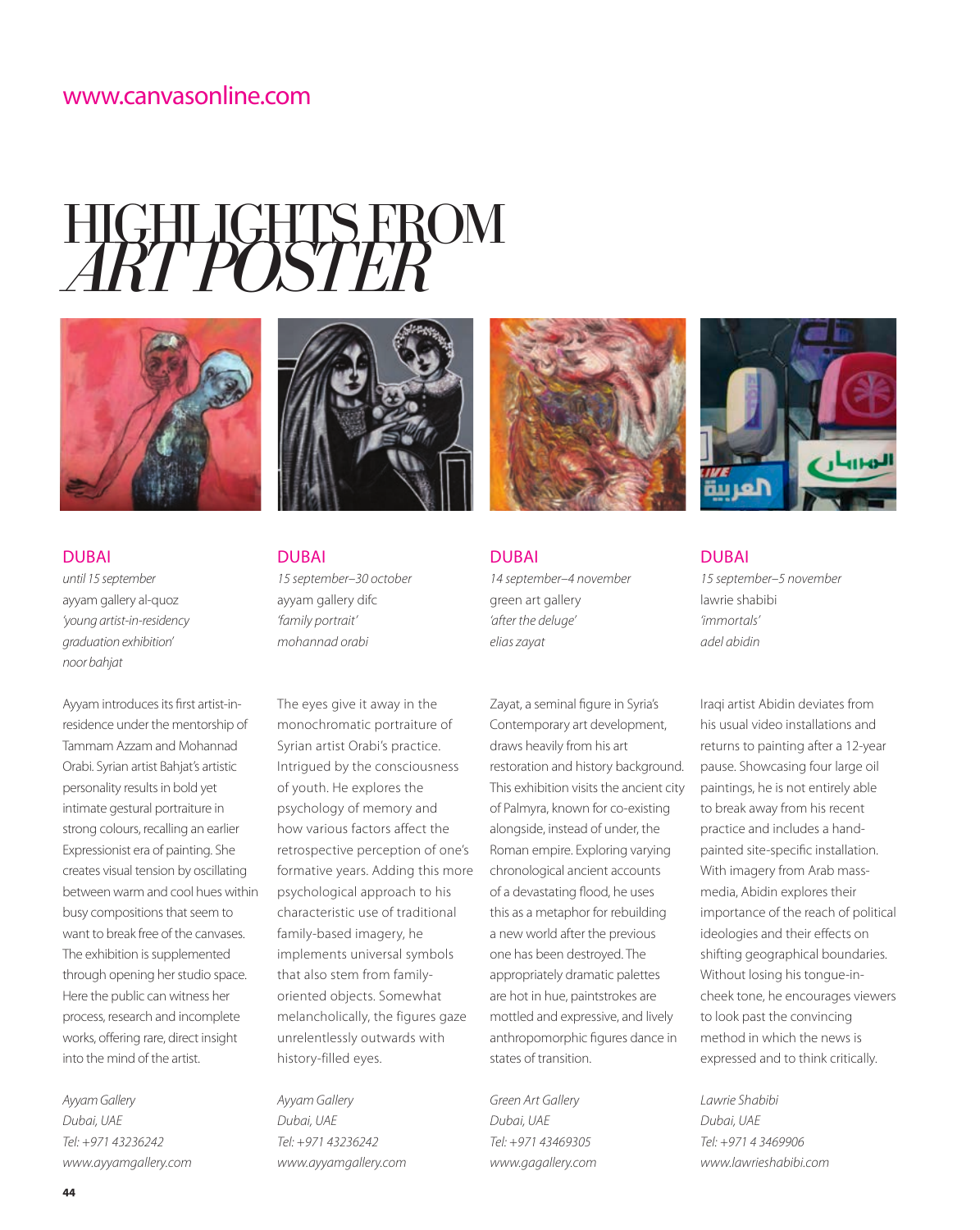## HIGHLIGHTS FROM *ART POSTER*



## DUBAI *until 15 september*

ayyam gallery al-quoz *'young artist-in-residency graduation exhibition' noor bahjat*

Ayyam introduces its first artist-inresidence under the mentorship of Tammam Azzam and Mohannad Orabi. Syrian artist Bahjat's artistic personality results in bold yet intimate gestural portraiture in strong colours, recalling an earlier Expressionist era of painting. She creates visual tension by oscillating between warm and cool hues within busy compositions that seem to want to break free of the canvases. The exhibition is supplemented through opening her studio space. Here the public can witness her process, research and incomplete works, offering rare, direct insight into the mind of the artist.

*Ayyam Gallery Dubai, UAE Tel: +971 43236242 www.ayyamgallery.com*



DUBAI *15 september–30 october*  ayyam gallery difc *'family portrait' mohannad orabi*

The eyes give it away in the monochromatic portraiture of Syrian artist Orabi's practice. Intrigued by the consciousness of youth. He explores the psychology of memory and how various factors affect the retrospective perception of one's formative years. Adding this more psychological approach to his characteristic use of traditional family-based imagery, he implements universal symbols that also stem from familyoriented objects. Somewhat melancholically, the figures gaze unrelentlessly outwards with history-filled eyes.

*Ayyam Gallery Dubai, UAE Tel: +971 43236242 www.ayyamgallery.com*



DUBAI *14 september–4 november*  green art gallery *'after the deluge' elias zayat*

Zayat, a seminal figure in Syria's Contemporary art development, draws heavily from his art restoration and history background. This exhibition visits the ancient city of Palmyra, known for co-existing alongside, instead of under, the Roman empire. Exploring varying chronological ancient accounts of a devastating flood, he uses this as a metaphor for rebuilding a new world after the previous one has been destroyed. The appropriately dramatic palettes are hot in hue, paintstrokes are mottled and expressive, and lively anthropomorphic figures dance in states of transition.

*Green Art Gallery Dubai, UAE Tel: +971 43469305 www.gagallery.com*



DUBAI *15 september–5 november*  lawrie shabibi *'immortals' adel abidin*

Iraqi artist Abidin deviates from his usual video installations and returns to painting after a 12-year pause. Showcasing four large oil paintings, he is not entirely able to break away from his recent practice and includes a handpainted site-specific installation. With imagery from Arab massmedia, Abidin explores their importance of the reach of political ideologies and their effects on shifting geographical boundaries. Without losing his tongue-incheek tone, he encourages viewers to look past the convincing method in which the news is expressed and to think critically.

*Lawrie Shabibi Dubai, UAE Tel: +971 4 3469906 www.lawrieshabibi.com*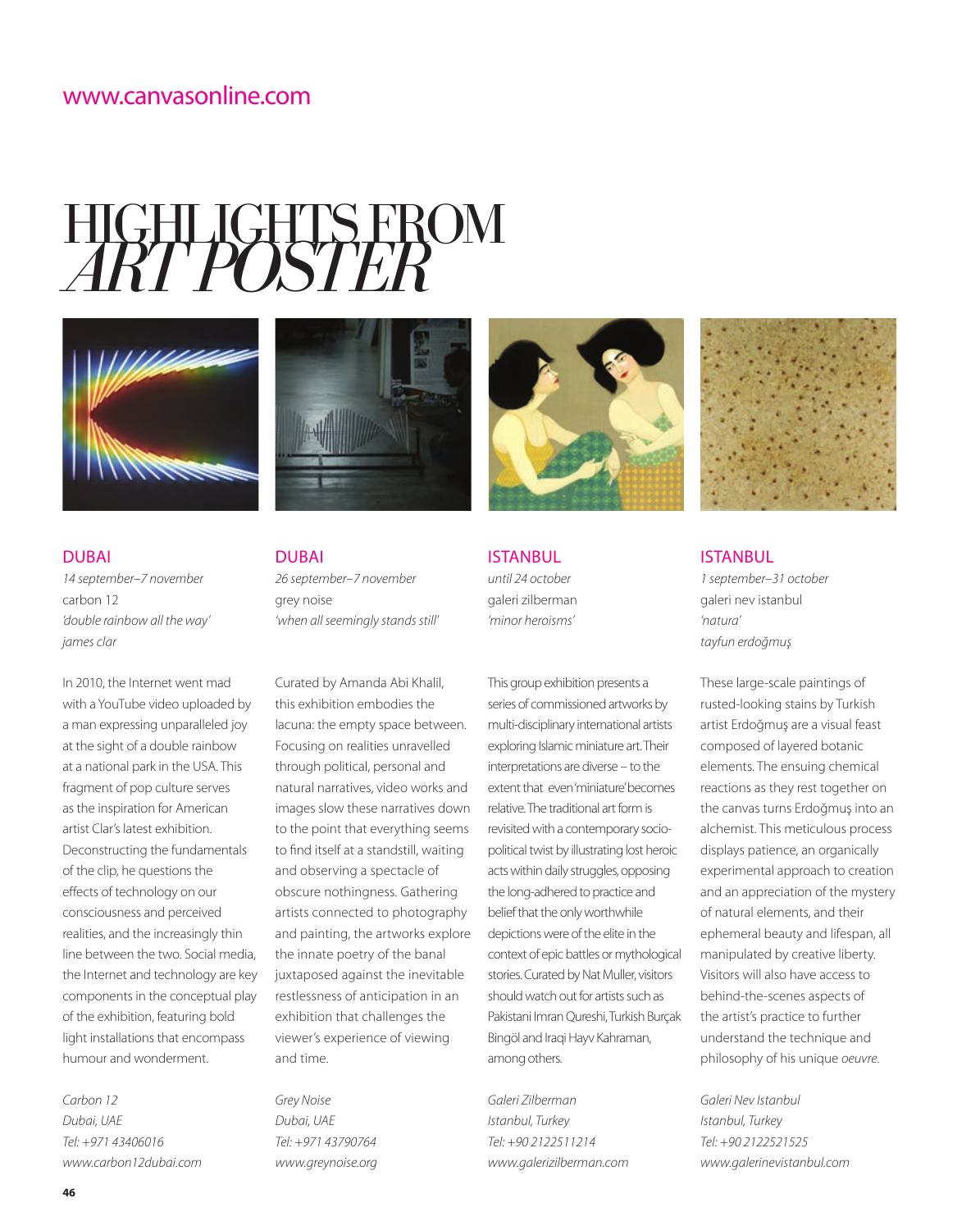# HIGHLIGHTS FROM *ART POSTER*





DUBAI *14 september–7 november*  carbon 12 *'double rainbow all the way' james clar*

In 2010, the Internet went mad with a YouTube video uploaded by a man expressing unparalleled joy at the sight of a double rainbow at a national park in the USA. This fragment of pop culture serves as the inspiration for American artist Clar's latest exhibition. Deconstructing the fundamentals of the clip, he questions the effects of technology on our consciousness and perceived realities, and the increasingly thin line between the two. Social media, the Internet and technology are key components in the conceptual play of the exhibition, featuring bold light installations that encompass humour and wonderment.

*Carbon 12 Dubai, UAE Tel: +971 43406016 www.carbon12dubai.com*

DUBAI *26 september–7 november* grey noise *'when all seemingly stands still'* 

Curated by Amanda Abi Khalil, this exhibition embodies the lacuna: the empty space between. Focusing on realities unravelled through political, personal and natural narratives, video works and images slow these narratives down to the point that everything seems to find itself at a standstill, waiting and observing a spectacle of obscure nothingness. Gathering artists connected to photography and painting, the artworks explore the innate poetry of the banal juxtaposed against the inevitable restlessness of anticipation in an exhibition that challenges the viewer's experience of viewing and time.

*Grey Noise Dubai, UAE Tel: +971 43790764 www.greynoise.org*



ISTANBUL *until 24 october*  galeri zilberman *'minor heroisms'*

This group exhibition presents a series of commissioned artworks by multi-disciplinary international artists exploring Islamic miniature art. Their interpretations are diverse *–* to the extent that even 'miniature' becomes relative. The traditional art form is revisited with a contemporary sociopolitical twist by illustrating lost heroic acts within daily struggles, opposing the long-adhered to practice and belief that the only worthwhile depictions were of the elite in the context of epic battles or mythological stories. Curated by Nat Muller, visitors should watch out for artists such as Pakistani Imran Qureshi, Turkish Burçak Bingöl and Iraqi Hayv Kahraman, among others.

*Galeri Zilberman Istanbul, Turkey Tel: +90 2122511214 www.galerizilberman.com*



### ISTANBUL

*1 september–31 october*  galeri nev istanbul *'natura' tayfun erdoğmuş*

These large-scale paintings of rusted-looking stains by Turkish artist Erdoğmuş are a visual feast composed of layered botanic elements. The ensuing chemical reactions as they rest together on the canvas turns Erdoğmuş into an alchemist. This meticulous process displays patience, an organically experimental approach to creation and an appreciation of the mystery of natural elements, and their ephemeral beauty and lifespan, all manipulated by creative liberty. Visitors will also have access to behind-the-scenes aspects of the artist's practice to further understand the technique and philosophy of his unique *oeuvre*.

*Galeri Nev Istanbul Istanbul, Turkey Tel: +90 2122521525 www.galerinevistanbul.com*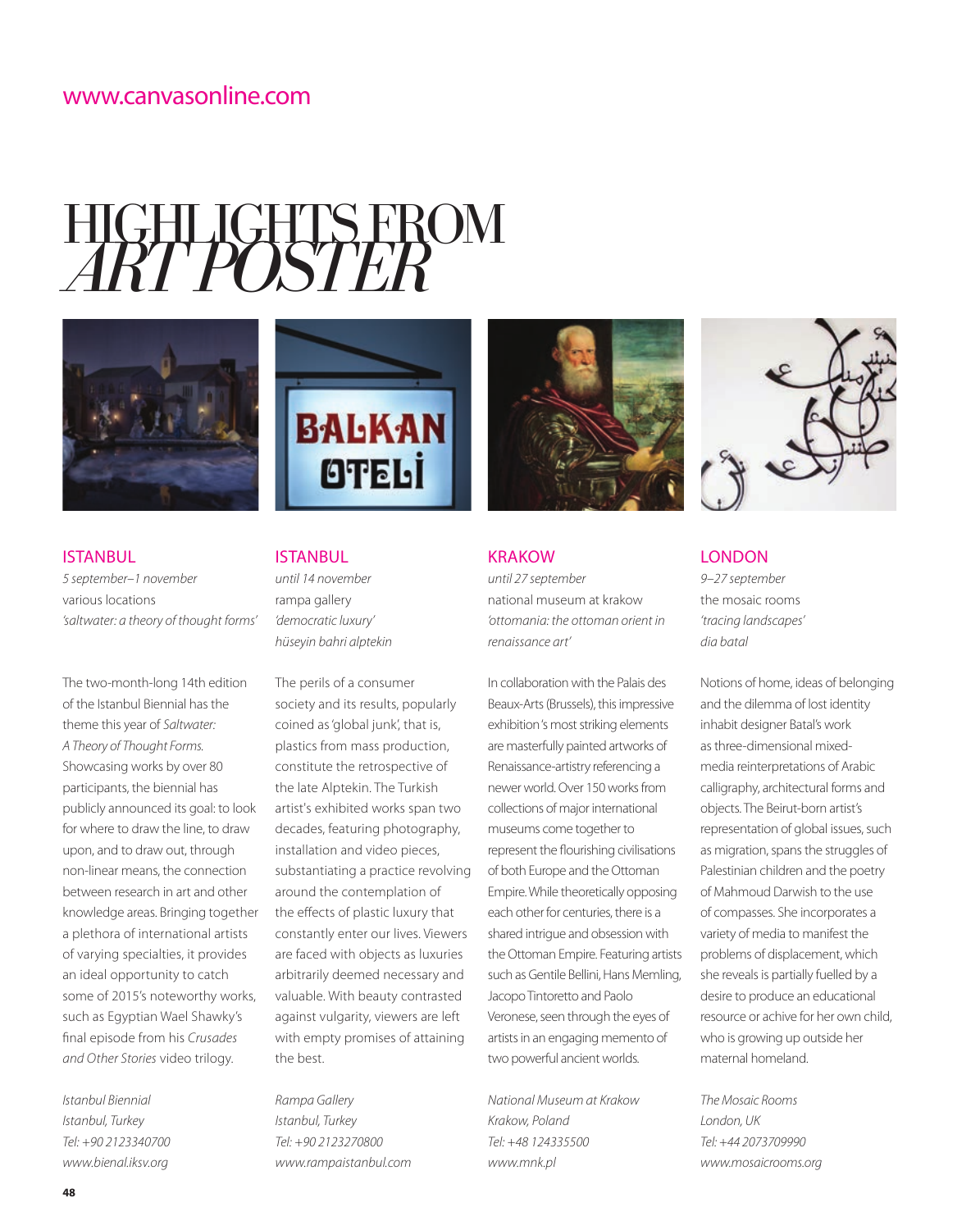# HIGHLIGHTS FROM *ART POSTER*





### ISTANBUL *5 september–1 november*  various locations *'saltwater: a theory of thought forms'*

The two-month-long 14th edition of the Istanbul Biennial has the theme this year of *Saltwater: A Theory of Thought Forms.*  Showcasing works by over 80 participants, the biennial has publicly announced its goal: to look for where to draw the line, to draw upon, and to draw out, through non-linear means, the connection between research in art and other knowledge areas. Bringing together a plethora of international artists of varying specialties, it provides an ideal opportunity to catch some of 2015's noteworthy works, such as Egyptian Wael Shawky's final episode from his *Crusades and Other Stories* video trilogy.

*Istanbul Biennial Istanbul, Turkey Tel: +90 2123340700 www.bienal.iksv.org*

### ISTANBUL

*until 14 november*  rampa gallery *'democratic luxury' hüseyin bahri alptekin*

The perils of a consumer society and its results, popularly coined as 'global junk', that is, plastics from mass production, constitute the retrospective of the late Alptekin. The Turkish artist's exhibited works span two decades, featuring photography, installation and video pieces, substantiating a practice revolving around the contemplation of the effects of plastic luxury that constantly enter our lives. Viewers are faced with objects as luxuries arbitrarily deemed necessary and valuable. With beauty contrasted against vulgarity, viewers are left with empty promises of attaining the best.

*Rampa Gallery Istanbul, Turkey Tel: +90 2123270800 www.rampaistanbul.com*



### **KRAKOW**

*until 27 september*  national museum at krakow *'ottomania: the ottoman orient in renaissance art'*

In collaboration with the Palais des Beaux-Arts (Brussels), this impressive exhibition 's most striking elements are masterfully painted artworks of Renaissance-artistry referencing a newer world. Over 150 works from collections of major international museums come together to represent the flourishing civilisations of both Europe and the Ottoman Empire. While theoretically opposing each other for centuries, there is a shared intrigue and obsession with the Ottoman Empire. Featuring artists such as Gentile Bellini, Hans Memling, Jacopo Tintoretto and Paolo Veronese, seen through the eyes of artists in an engaging memento of two powerful ancient worlds.

*National Museum at Krakow Krakow, Poland Tel: +48 124335500 www.mnk.pl*



### LONDON

*9–27 september*  the mosaic rooms *'tracing landscapes' dia batal*

Notions of home, ideas of belonging and the dilemma of lost identity inhabit designer Batal's work as three-dimensional mixedmedia reinterpretations of Arabic calligraphy, architectural forms and objects. The Beirut-born artist's representation of global issues, such as migration, spans the struggles of Palestinian children and the poetry of Mahmoud Darwish to the use of compasses. She incorporates a variety of media to manifest the problems of displacement, which she reveals is partially fuelled by a desire to produce an educational resource or achive for her own child, who is growing up outside her maternal homeland.

*The Mosaic Rooms London, UK Tel: +44 2073709990 www.mosaicrooms.org*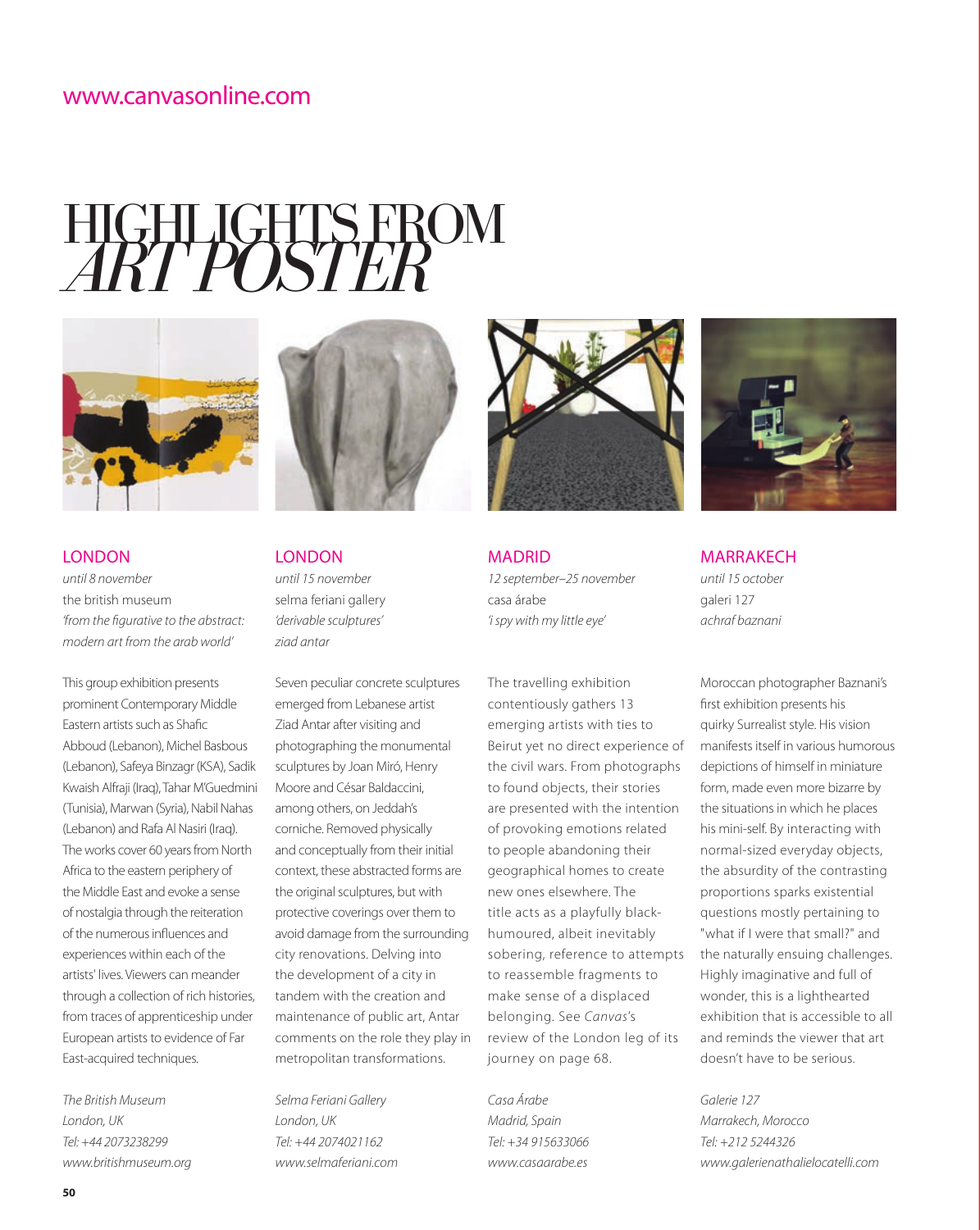# HIGHLIGHTS FROM *ART POSTER*



LONDON *until 8 november*  the british museum *'from the figurative to the abstract: modern art from the arab world'*

This group exhibition presents prominent Contemporary Middle Eastern artists such as Shafic Abboud (Lebanon), Michel Basbous (Lebanon), Safeya Binzagr (KSA), Sadik Kwaish Alfraji (Iraq), Tahar M'Guedmini (Tunisia), Marwan (Syria), Nabil Nahas (Lebanon) and Rafa Al Nasiri (Iraq). The works cover 60 years from North Africa to the eastern periphery of the Middle East and evoke a sense of nostalgia through the reiteration of the numerous influences and experiences within each of the artists' lives. Viewers can meander through a collection of rich histories, from traces of apprenticeship under European artists to evidence of Far East-acquired techniques.

*The British Museum London, UK Tel: +44 2073238299 www.britishmuseum.org*



**LONDON** *until 15 november*  selma feriani gallery *'derivable sculptures' ziad antar*

Seven peculiar concrete sculptures emerged from Lebanese artist Ziad Antar after visiting and photographing the monumental sculptures by Joan Miró, Henry Moore and César Baldaccini, among others, on Jeddah's corniche. Removed physically and conceptually from their initial context, these abstracted forms are the original sculptures, but with protective coverings over them to avoid damage from the surrounding city renovations. Delving into the development of a city in tandem with the creation and maintenance of public art, Antar comments on the role they play in metropolitan transformations.

*Selma Feriani Gallery London, UK Tel: +44 2074021162 www.selmaferiani.com*



MADRID *12 september–25 november*  casa árabe *'i spy with my little eye'*

The travelling exhibition contentiously gathers 13 emerging artists with ties to Beirut yet no direct experience of the civil wars. From photographs to found objects, their stories are presented with the intention of provoking emotions related to people abandoning their geographical homes to create new ones elsewhere. The title acts as a playfully blackhumoured, albeit inevitably sobering, reference to attempts to reassemble fragments to make sense of a displaced belonging. See *Canvas*'s review of the London leg of its journey on page 68.

*Casa Árabe Madrid, Spain Tel: +34 915633066 www.casaarabe.es*



MARRAKECH

*until 15 october*  galeri 127 *achraf baznani* 

Moroccan photographer Baznani's first exhibition presents his quirky Surrealist style. His vision manifests itself in various humorous depictions of himself in miniature form, made even more bizarre by the situations in which he places his mini-self. By interacting with normal-sized everyday objects, the absurdity of the contrasting proportions sparks existential questions mostly pertaining to "what if I were that small?" and the naturally ensuing challenges. Highly imaginative and full of wonder, this is a lighthearted exhibition that is accessible to all and reminds the viewer that art doesn't have to be serious.

*Galerie 127 Marrakech, Morocco Tel: +212 5244326 www.galerienathalielocatelli.com*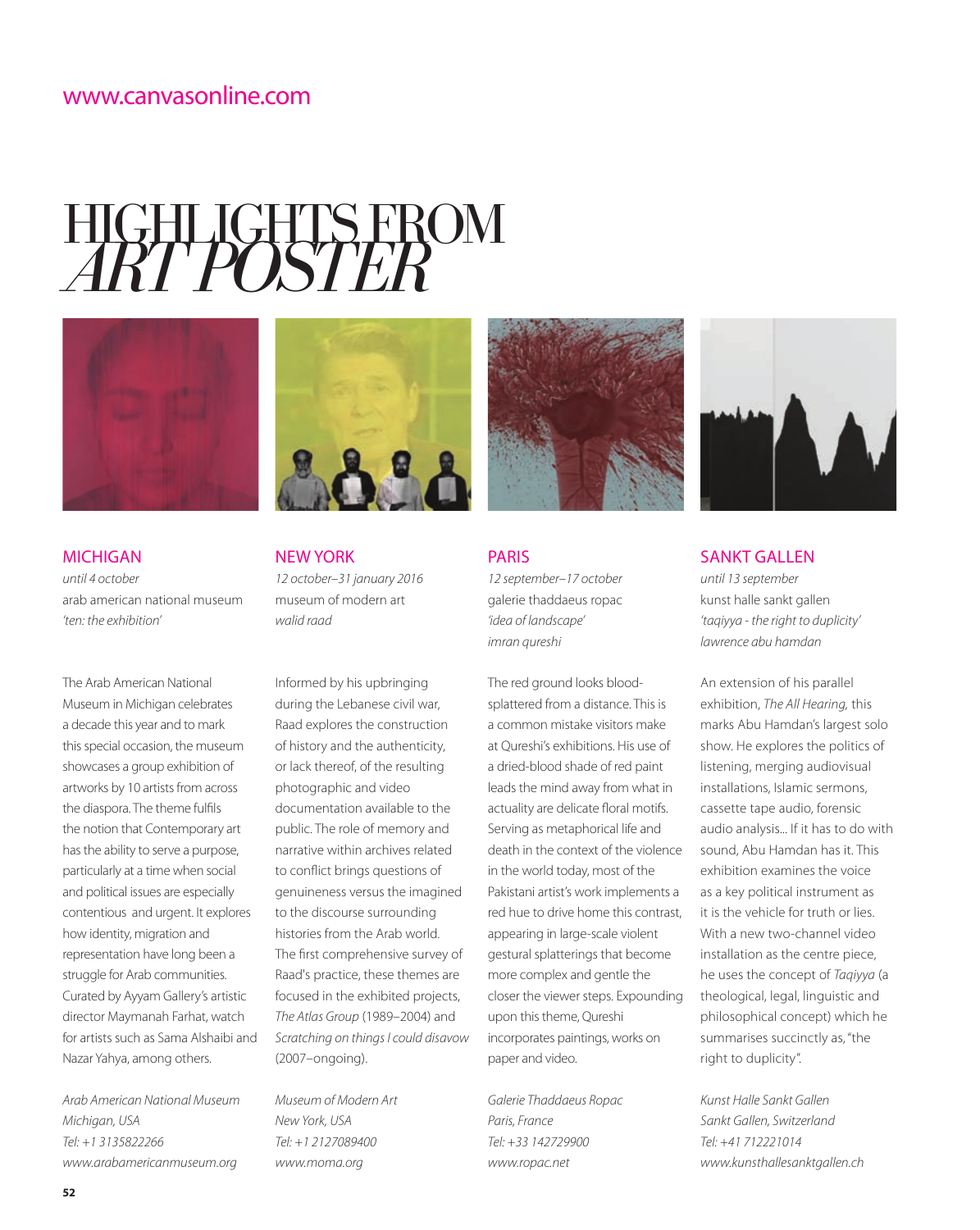# HIGHLIGHTS FROM *ART POSTER*





*until 4 october*  arab american national museum *'ten: the exhibition'*

The Arab American National Museum in Michigan celebrates a decade this year and to mark this special occasion, the museum showcases a group exhibition of artworks by 10 artists from across the diaspora. The theme fulfils the notion that Contemporary art has the ability to serve a purpose, particularly at a time when social and political issues are especially contentious and urgent. It explores how identity, migration and representation have long been a struggle for Arab communities. Curated by Ayyam Gallery's artistic director Maymanah Farhat, watch for artists such as Sama Alshaibi and Nazar Yahya, among others.

*Arab American National Museum Michigan, USA Tel: +1 3135822266 www.arabamericanmuseum.org*



NEW YORK *12 october–31 january 2016*  museum of modern art *walid raad*

Informed by his upbringing during the Lebanese civil war, Raad explores the construction of history and the authenticity, or lack thereof, of the resulting photographic and video documentation available to the public. The role of memory and narrative within archives related to conflict brings questions of genuineness versus the imagined to the discourse surrounding histories from the Arab world. The first comprehensive survey of Raad's practice, these themes are focused in the exhibited projects, *The Atlas Group* (1989–2004) and *Scratching on things I could disavow*  (2007–ongoing).

*Museum of Modern Art New York, USA Tel: +1 2127089400 www.moma.org*



PARIS *12 september–17 october*  galerie thaddaeus ropac *'idea of landscape' imran qureshi*

The red ground looks bloodsplattered from a distance. This is a common mistake visitors make at Qureshi's exhibitions. His use of a dried-blood shade of red paint leads the mind away from what in actuality are delicate floral motifs. Serving as metaphorical life and death in the context of the violence in the world today, most of the Pakistani artist's work implements a red hue to drive home this contrast, appearing in large-scale violent gestural splatterings that become more complex and gentle the closer the viewer steps. Expounding upon this theme, Qureshi incorporates paintings, works on paper and video.

*Galerie Thaddaeus Ropac Paris, France Tel: +33 142729900 www.ropac.net*



### SANKT GALLEN

*until 13 september*  kunst halle sankt gallen *'taqiyya - the right to duplicity' lawrence abu hamdan*

An extension of his parallel exhibition, *The All Hearing,* this marks Abu Hamdan's largest solo show. He explores the politics of listening, merging audiovisual installations, Islamic sermons, cassette tape audio, forensic audio analysis... If it has to do with sound, Abu Hamdan has it. This exhibition examines the voice as a key political instrument as it is the vehicle for truth or lies. With a new two-channel video installation as the centre piece, he uses the concept of *Taqiyya* (a theological, legal, linguistic and philosophical concept) which he summarises succinctly as, "the right to duplicity".

*Kunst Halle Sankt Gallen Sankt Gallen, Switzerland Tel: +41 712221014 www.kunsthallesanktgallen.ch*